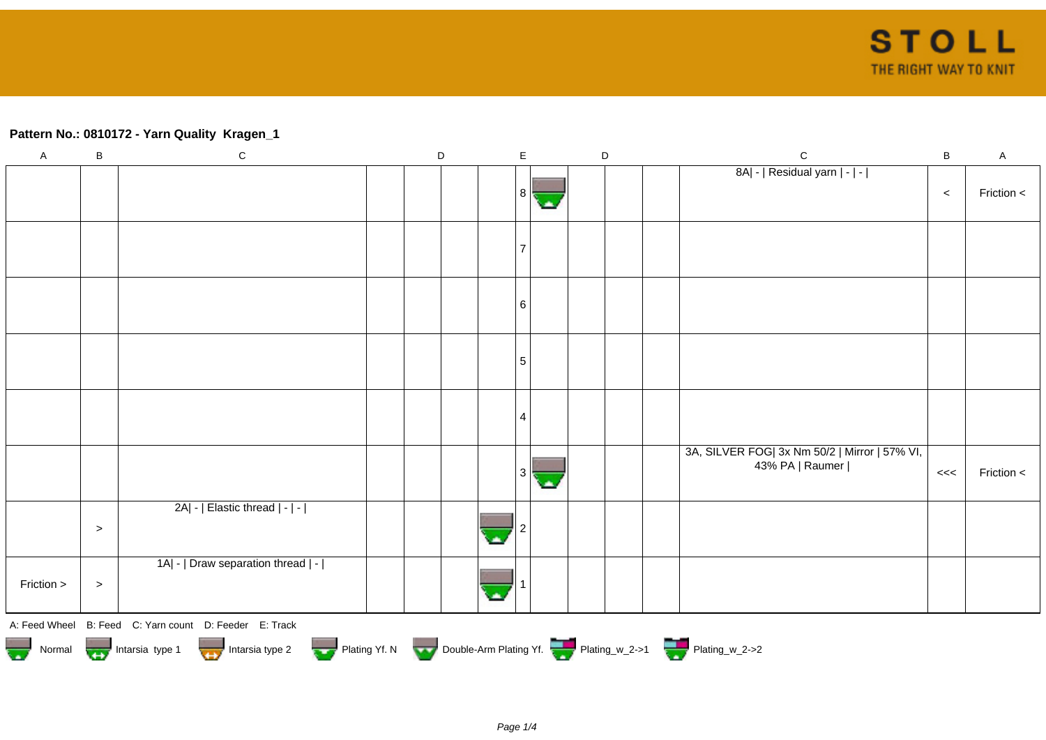## **Pattern No.: 0810172 - Yarn Quality Kragen\_1**

| $\mathsf A$ | $\sf B$                                                                                | ${\bf C}$                                              |  | $\mathsf D$ |  | $\mathsf E$ |  | $\mathsf D$ |  |  | $\mathsf{C}$                                                     | $\, {\bf B}$ | $\mathsf A$ |
|-------------|----------------------------------------------------------------------------------------|--------------------------------------------------------|--|-------------|--|-------------|--|-------------|--|--|------------------------------------------------------------------|--------------|-------------|
|             |                                                                                        |                                                        |  |             |  |             |  |             |  |  | 8A  -   Residual yarn   -   -                                    | $\,<$        | Friction <  |
|             |                                                                                        |                                                        |  |             |  |             |  |             |  |  |                                                                  |              |             |
|             |                                                                                        |                                                        |  |             |  | 6           |  |             |  |  |                                                                  |              |             |
|             |                                                                                        |                                                        |  |             |  | 5           |  |             |  |  |                                                                  |              |             |
|             |                                                                                        |                                                        |  |             |  | 4           |  |             |  |  |                                                                  |              |             |
|             |                                                                                        |                                                        |  |             |  |             |  |             |  |  | 3A, SILVER FOG  3x Nm 50/2   Mirror   57% VI,<br>43% PA   Raumer | <<           | Friction <  |
|             | $\,>$                                                                                  | 2A  -   Elastic thread   -   -                         |  |             |  |             |  |             |  |  |                                                                  |              |             |
| Friction >  | $\, >$                                                                                 | 1A  -   Draw separation thread   -                     |  |             |  |             |  |             |  |  |                                                                  |              |             |
|             |                                                                                        | A: Feed Wheel B: Feed C: Yarn count D: Feeder E: Track |  |             |  |             |  |             |  |  |                                                                  |              |             |
|             | Normal <b>Double-Arm Plating Yf. N</b> Double-Arm Plating Yf. N Double-Arm Plating Yf. |                                                        |  |             |  |             |  |             |  |  |                                                                  |              |             |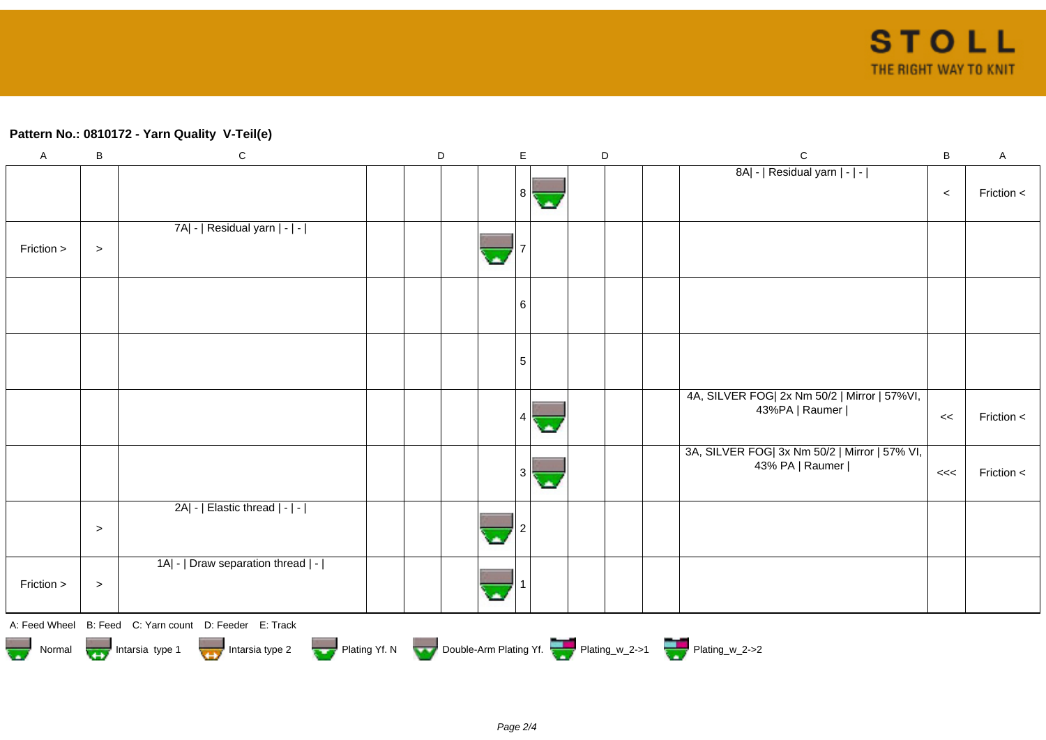## **Pattern No.: 0810172 - Yarn Quality V-Teil(e)**

| $\boldsymbol{\mathsf{A}}$ | B      | ${\bf C}$                                                                                                                                                       | D | E | D | $\mathbf C$                                                      | B     | $\mathsf A$ |
|---------------------------|--------|-----------------------------------------------------------------------------------------------------------------------------------------------------------------|---|---|---|------------------------------------------------------------------|-------|-------------|
|                           |        |                                                                                                                                                                 |   | 8 |   | 8A  -   Residual yarn   -   -                                    | $\,<$ | Friction <  |
| Friction >                | $\, >$ | 7A  -   Residual yarn   -   -                                                                                                                                   |   |   |   |                                                                  |       |             |
|                           |        |                                                                                                                                                                 |   | 6 |   |                                                                  |       |             |
|                           |        |                                                                                                                                                                 |   | 5 |   |                                                                  |       |             |
|                           |        |                                                                                                                                                                 |   |   |   | 4A, SILVER FOG  2x Nm 50/2   Mirror   57% VI,<br>43%PA   Raumer  | <<    | Friction <  |
|                           |        |                                                                                                                                                                 |   |   |   | 3A, SILVER FOG  3x Nm 50/2   Mirror   57% VI,<br>43% PA   Raumer | <<    | Friction <  |
|                           | $\,>$  | $2A$ -   Elastic thread $ - $ -                                                                                                                                 |   |   |   |                                                                  |       |             |
| Friction >                | $\, >$ | 1A  -   Draw separation thread   -                                                                                                                              |   |   |   |                                                                  |       |             |
|                           |        | A: Feed Wheel B: Feed C: Yarn count D: Feeder E: Track<br>Normal Montain Strategy Intarsia type 2 Plating Yf. N Double-Arm Plating Yf. N Double-Arm Plating Yf. |   |   |   |                                                                  |       |             |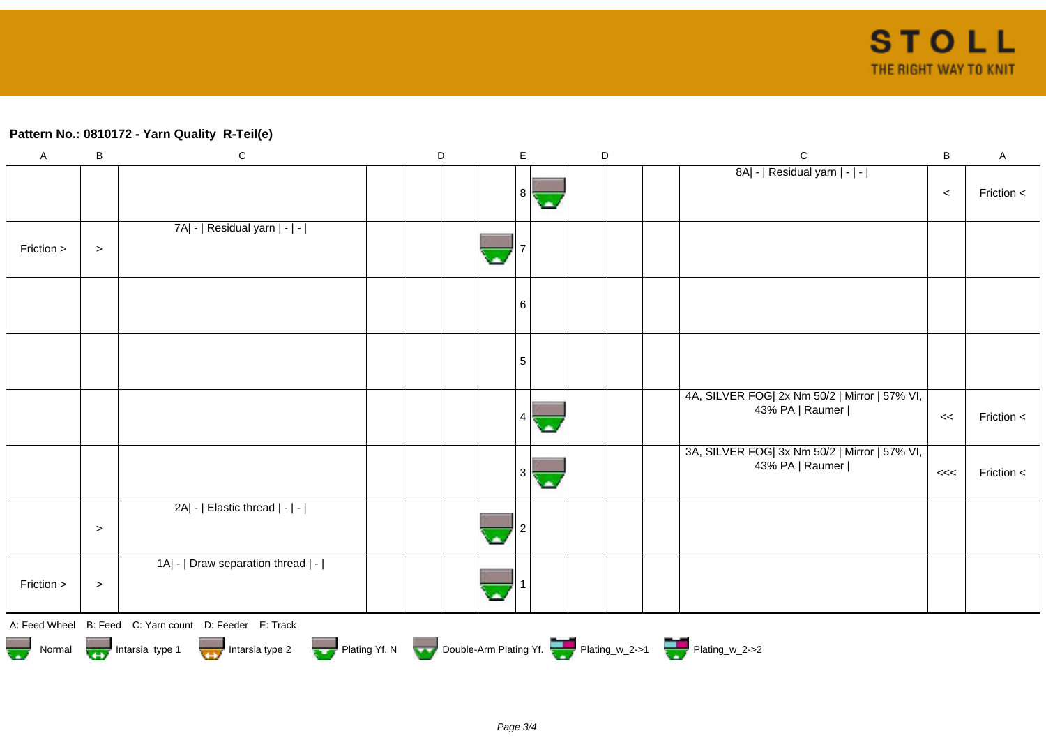## **Pattern No.: 0810172 - Yarn Quality R-Teil(e)**

| $\mathsf A$                                                                                                                                                                                                                          | $\sf B$ | ${\bf C}$                                              |  | D |  | E |  | D |  | $\mathsf{C}$                                                     | B     | A          |
|--------------------------------------------------------------------------------------------------------------------------------------------------------------------------------------------------------------------------------------|---------|--------------------------------------------------------|--|---|--|---|--|---|--|------------------------------------------------------------------|-------|------------|
|                                                                                                                                                                                                                                      |         |                                                        |  |   |  | 8 |  |   |  | 8A  -   Residual yarn   -   -                                    | $\,<$ | Friction < |
| Friction >                                                                                                                                                                                                                           | $\,>$   | 7A  -   Residual yarn   -   -                          |  |   |  |   |  |   |  |                                                                  |       |            |
|                                                                                                                                                                                                                                      |         |                                                        |  |   |  | 6 |  |   |  |                                                                  |       |            |
|                                                                                                                                                                                                                                      |         |                                                        |  |   |  | 5 |  |   |  |                                                                  |       |            |
|                                                                                                                                                                                                                                      |         |                                                        |  |   |  |   |  |   |  | 4A, SILVER FOG  2x Nm 50/2   Mirror   57% VI,<br>43% PA   Raumer | <<    | Friction < |
|                                                                                                                                                                                                                                      |         |                                                        |  |   |  |   |  |   |  | 3A, SILVER FOG  3x Nm 50/2   Mirror   57% VI,<br>43% PA   Raumer | <<    | Friction < |
|                                                                                                                                                                                                                                      | $\,>$   | 2A  -   Elastic thread   -   -                         |  |   |  |   |  |   |  |                                                                  |       |            |
| Friction >                                                                                                                                                                                                                           | $\, >$  | 1A  -   Draw separation thread   -                     |  |   |  |   |  |   |  |                                                                  |       |            |
|                                                                                                                                                                                                                                      |         | A: Feed Wheel B: Feed C: Yarn count D: Feeder E: Track |  |   |  |   |  |   |  |                                                                  |       |            |
| Normal <b>Department of the School School School School School School School School School School School School School School School School School School School School School School School School School School School School </b> |         |                                                        |  |   |  |   |  |   |  |                                                                  |       |            |